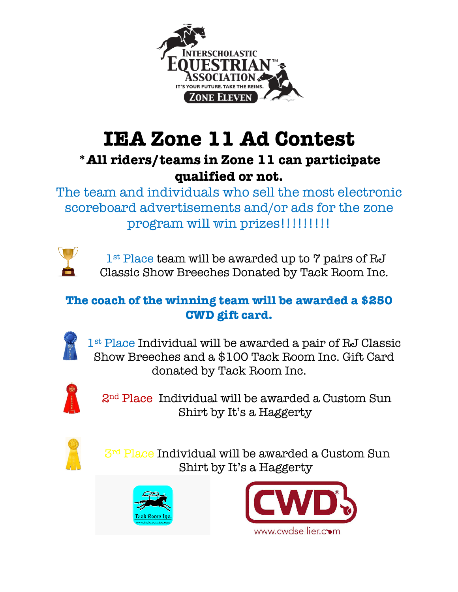

## **IEA Zone 11 Ad Contest**

### **\*All riders/teams in Zone 11 can participate qualified or not.**

The team and individuals who sell the most electronic scoreboard advertisements and/or ads for the zone program will win prizes!!!!!!!!!!



1<sup>st</sup> Place team will be awarded up to 7 pairs of RJ Classic Show Breeches Donated by Tack Room Inc.

#### **The coach of the winning team will be awarded a \$250 CWD gift card.**



1st Place Individual will be awarded a pair of RJ Classic Show Breeches and a \$100 Tack Room Inc. Gift Card donated by Tack Room Inc.



2nd Place Individual will be awarded a Custom Sun Shirt by It's a Haggerty



 $3<sup>rd</sup>$  Place Individual will be awarded a Custom Sun Shirt by It's a Haggerty



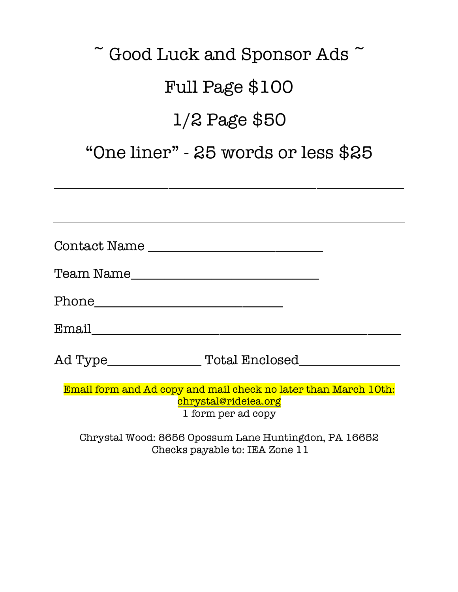# $\tilde{\phantom{a}}$  Good Luck and Sponsor Ads  $\tilde{\phantom{a}}$ Full Page \$100 1/2 Page \$50

### "One liner" - 25 words or less \$25

\_\_\_\_\_\_\_\_\_\_\_\_\_\_\_\_\_\_\_\_\_\_\_\_\_\_\_\_\_\_\_\_\_\_\_\_\_\_\_\_\_\_\_\_\_\_\_\_\_\_\_\_

| Contact Name                                                                                                  |  |
|---------------------------------------------------------------------------------------------------------------|--|
| Team Name                                                                                                     |  |
|                                                                                                               |  |
|                                                                                                               |  |
|                                                                                                               |  |
| Email form and Ad copy and mail check no later than March 10th:<br>chrystal@rideiea.org<br>1 form per ad copy |  |
| $Ohratel$ $Msod$ , $OGE$ $Oncanum$ $Lana$ $Ilimtine$ $odon$ $D$ $I$ $OGE$                                     |  |

Chrystal Wood: 8656 Opossum Lane Huntingdon, PA 16652 Checks payable to: IEA Zone 11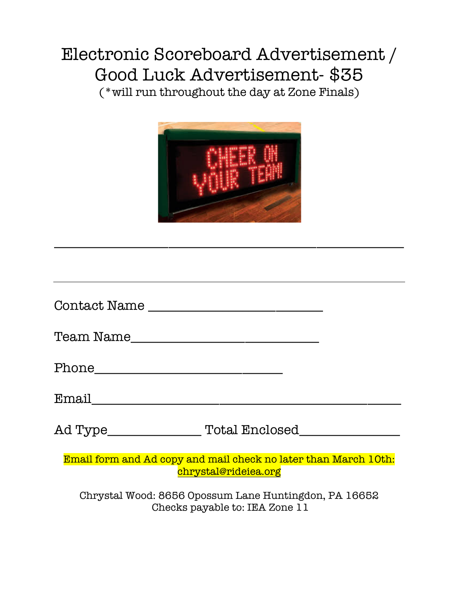### Electronic Scoreboard Advertisement / Good Luck Advertisement- \$35

(\*will run throughout the day at Zone Finals)



\_\_\_\_\_\_\_\_\_\_\_\_\_\_\_\_\_\_\_\_\_\_\_\_\_\_\_\_\_\_\_\_\_\_\_\_\_\_\_\_\_\_\_\_\_\_\_\_\_\_\_\_

| Contact Name                                                                            |
|-----------------------------------------------------------------------------------------|
| Team Name                                                                               |
|                                                                                         |
| Email                                                                                   |
| Ad Type________________<br>Total Enclosed                                               |
| Email form and Ad copy and mail check no later than March 10th:<br>chrystal@rideiea.org |

Chrystal Wood: 8656 Opossum Lane Huntingdon, PA 16652 Checks payable to: IEA Zone 11